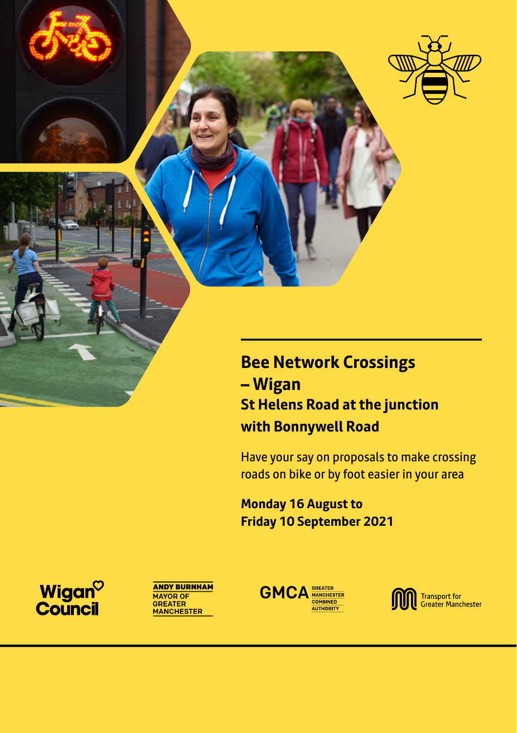

**Bee Network Crossings – Wigan St Helens Road at the junction with Bonnywell Road**

Have your say on proposals to make crossing roads on bike or by foot easier in your area

**Monday 16 August to Friday 10 September 2021**

Wigan<sup>o</sup><br>Council





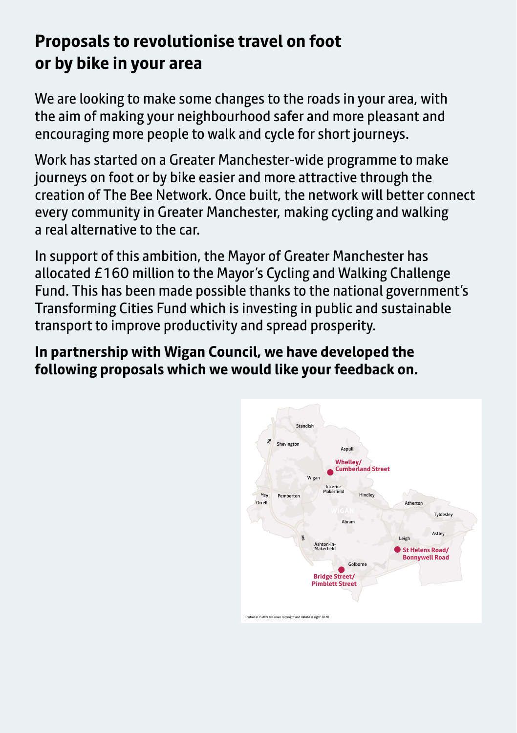# **Proposals to revolutionise travel on foot or by bike in your area**

We are looking to make some changes to the roads in your area, with the aim of making your neighbourhood safer and more pleasant and encouraging more people to walk and cycle for short journeys.

Work has started on a Greater Manchester-wide programme to make journeys on foot or by bike easier and more attractive through the creation of The Bee Network. Once built, the network will better connect every community in Greater Manchester, making cycling and walking a real alternative to the car.

In support of this ambition, the Mayor of Greater Manchester has allocated £160 million to the Mayor's Cycling and Walking Challenge Fund. This has been made possible thanks to the national government's Transforming Cities Fund which is investing in public and sustainable transport to improve productivity and spread prosperity.

**In partnership with Wigan Council, we have developed the following proposals which we would like your feedback on.**

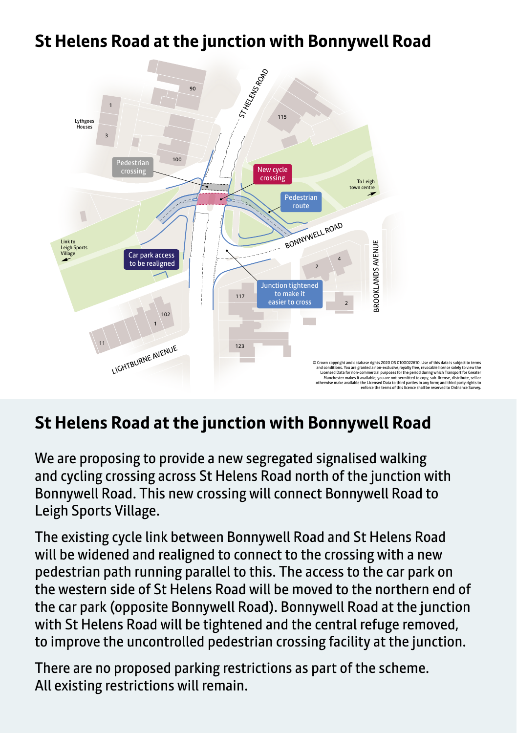## **St Helens Road at the junction with Bonnywell Road**



## St Helens Road at the junction with Bonnywell Road

We are proposing to provide a new segregated signalised walking and cycling crossing across St Helens Road north of the junction with Bonnywell Road. This new crossing will connect Bonnywell Road to Leigh Sports Village.

The existing cycle link between Bonnywell Road and St Helens Road will be widened and realigned to connect to the crossing with a new pedestrian path running parallel to this. The access to the car park on the western side of St Helens Road will be moved to the northern end of the car park (opposite Bonnywell Road). Bonnywell Road at the junction with St Helens Road will be tightened and the central refuge removed, to improve the uncontrolled pedestrian crossing facility at the junction.

There are no proposed parking restrictions as part of the scheme. All existing restrictions will remain.